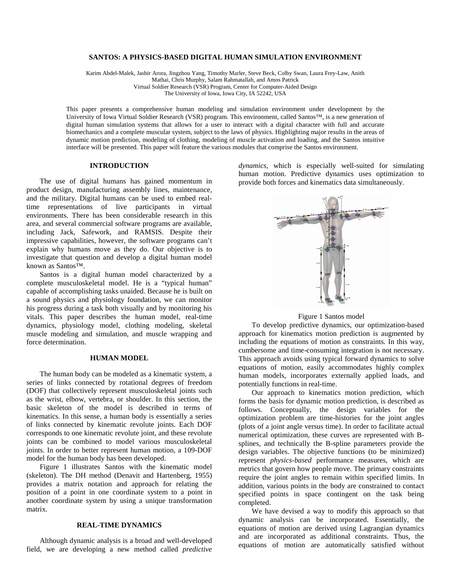## **SANTOS: A PHYSICS-BASED DIGITAL HUMAN SIMULATION ENVIRONMENT**

Karim Abdel-Malek, Jasbir Arora, Jingzhou Yang, Timothy Marler, Steve Beck, Colby Swan, Laura Frey-Law, Anith Mathai, Chris Murphy, Salam Rahmatallah, and Amos Patrick Virtual Soldier Research (VSR) Program, Center for Computer-Aided Design The University of Iowa, Iowa City, IA 52242, USA

This paper presents a comprehensive human modeling and simulation environment under development by the University of Iowa Virtual Soldier Research (VSR) program. This environment, called Santos™, is a new generation of digital human simulation systems that allows for a user to interact with a digital character with full and accurate biomechanics and a complete muscular system, subject to the laws of physics. Highlighting major results in the areas of dynamic motion prediction, modeling of clothing, modeling of muscle activation and loading, and the Santos intuitive interface will be presented. This paper will feature the various modules that comprise the Santos environment.

## **INTRODUCTION**

 The use of digital humans has gained momentum in product design, manufacturing assembly lines, maintenance, and the military. Digital humans can be used to embed realtime representations of live participants in virtual environments. There has been considerable research in this area, and several commercial software programs are available, including Jack, Safework, and RAMSIS. Despite their impressive capabilities, however, the software programs can't explain why humans move as they do. Our objective is to investigate that question and develop a digital human model known as Santos™.

 Santos is a digital human model characterized by a complete musculoskeletal model. He is a "typical human" capable of accomplishing tasks unaided. Because he is built on a sound physics and physiology foundation, we can monitor his progress during a task both visually and by monitoring his vitals. This paper describes the human model, real-time dynamics, physiology model, clothing modeling, skeletal muscle modeling and simulation, and muscle wrapping and force determination.

## **HUMAN MODEL**

 The human body can be modeled as a kinematic system, a series of links connected by rotational degrees of freedom (DOF) that collectively represent musculoskeletal joints such as the wrist, elbow, vertebra, or shoulder. In this section, the basic skeleton of the model is described in terms of kinematics. In this sense, a human body is essentially a series of links connected by kinematic revolute joints. Each DOF corresponds to one kinematic revolute joint, and these revolute joints can be combined to model various musculoskeletal joints. In order to better represent human motion, a 109-DOF model for the human body has been developed.

 Figure 1 illustrates Santos with the kinematic model (skeleton). The DH method (Denavit and Hartenberg, 1955) provides a matrix notation and approach for relating the position of a point in one coordinate system to a point in another coordinate system by using a unique transformation matrix.

#### **REAL-TIME DYNAMICS**

Although dynamic analysis is a broad and well-developed field, we are developing a new method called *predictive*  *dynamics*, which is especially well-suited for simulating human motion. Predictive dynamics uses optimization to provide both forces and kinematics data simultaneously.



Figure 1 Santos model

To develop predictive dynamics, our optimization-based approach for kinematics motion prediction is augmented by including the equations of motion as constraints. In this way, cumbersome and time-consuming integration is not necessary. This approach avoids using typical forward dynamics to solve equations of motion, easily accommodates highly complex human models, incorporates externally applied loads, and potentially functions in real-time.

Our approach to kinematics motion prediction, which forms the basis for dynamic motion prediction, is described as follows. Conceptually, the design variables for the optimization problem are time-histories for the joint angles (plots of a joint angle versus time). In order to facilitate actual numerical optimization, these curves are represented with Bsplines, and technically the B-spline parameters provide the design variables. The objective functions (to be minimized) represent *physics-based* performance measures, which are metrics that govern how people move. The primary constraints require the joint angles to remain within specified limits. In addition, various points in the body are constrained to contact specified points in space contingent on the task being completed.

We have devised a way to modify this approach so that dynamic analysis can be incorporated. Essentially, the equations of motion are derived using Lagrangian dynamics and are incorporated as additional constraints. Thus, the equations of motion are automatically satisfied without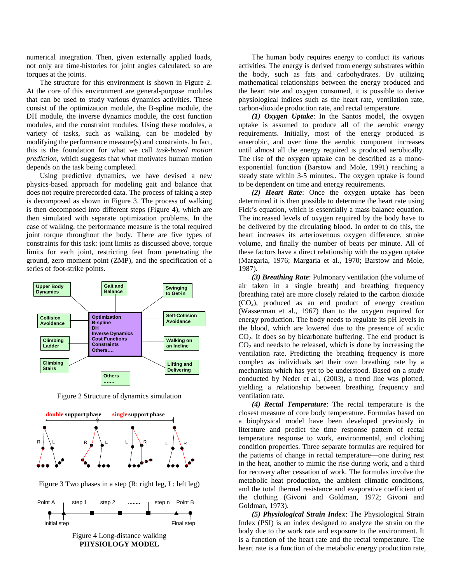numerical integration. Then, given externally applied loads, not only are time-histories for joint angles calculated, so are torques at the joints.

The structure for this environment is shown in Figure 2. At the core of this environment are general-purpose modules that can be used to study various dynamics activities. These consist of the optimization module, the B-spline module, the DH module, the inverse dynamics module, the cost function modules, and the constraint modules. Using these modules, a variety of tasks, such as walking, can be modeled by modifying the performance measure(s) and constraints. In fact, this is the foundation for what we call *task-based motion prediction*, which suggests that what motivates human motion depends on the task being completed.

Using predictive dynamics, we have devised a new physics-based approach for modeling gait and balance that does not require prerecorded data. The process of taking a step is decomposed as shown in Figure 3. The process of walking is then decomposed into different steps (Figure 4), which are then simulated with separate optimization problems. In the case of walking, the performance measure is the total required joint torque throughout the body. There are five types of constraints for this task: joint limits as discussed above, torque limits for each joint, restricting feet from penetrating the ground, zero moment point (ZMP), and the specification of a series of foot-strike points.



Figure 2 Structure of dynamics simulation



Figure 3 Two phases in a step (R: right leg, L: left leg)



 The human body requires energy to conduct its various activities. The energy is derived from energy substrates within the body, such as fats and carbohydrates. By utilizing mathematical relationships between the energy produced and the heart rate and oxygen consumed, it is possible to derive physiological indices such as the heart rate, ventilation rate, carbon-dioxide production rate, and rectal temperature.

 *(1) Oxygen Uptake*: In the Santos model, the oxygen uptake is assumed to produce all of the aerobic energy requirements. Initially, most of the energy produced is anaerobic, and over time the aerobic component increases until almost all the energy required is produced aerobically. The rise of the oxygen uptake can be described as a monoexponential function (Barstow and Mole, 1991) reaching a steady state within 3-5 minutes.. The oxygen uptake is found to be dependent on time and energy requirements.

 *(2) Heart Rate*: Once the oxygen uptake has been determined it is then possible to determine the heart rate using Fick's equation, which is essentially a mass balance equation. The increased levels of oxygen required by the body have to be delivered by the circulating blood. In order to do this, the heart increases its arteriovenous oxygen difference, stroke volume, and finally the number of beats per minute. All of these factors have a direct relationship with the oxygen uptake (Margaria, 1976; Margaria et al., 1970; Barstow and Mole, 1987).

 *(3) Breathing Rate*: Pulmonary ventilation (the volume of air taken in a single breath) and breathing frequency (breathing rate) are more closely related to the carbon dioxide  $(CO<sub>2</sub>)$ , produced as an end product of energy creation (Wasserman et al., 1967) than to the oxygen required for energy production. The body needs to regulate its pH levels in the blood, which are lowered due to the presence of acidic  $CO<sub>2</sub>$ . It does so by bicarbonate buffering. The end product is  $CO<sub>2</sub>$  and needs to be released, which is done by increasing the ventilation rate. Predicting the breathing frequency is more complex as individuals set their own breathing rate by a mechanism which has yet to be understood. Based on a study conducted by Neder et al., (2003), a trend line was plotted, yielding a relationship between breathing frequency and ventilation rate.

 *(4) Rectal Temperature*: The rectal temperature is the closest measure of core body temperature. Formulas based on a biophysical model have been developed previously in literature and predict the time response pattern of rectal temperature response to work, environmental, and clothing condition properties. Three separate formulas are required for the patterns of change in rectal temperature—one during rest in the heat, another to mimic the rise during work, and a third for recovery after cessation of work. The formulas involve the metabolic heat production, the ambient climatic conditions, and the total thermal resistance and evaporative coefficient of the clothing (Givoni and Goldman, 1972; Givoni and Goldman, 1973).

 *(5) Physiological Strain Index*: The Physiological Strain Index (PSI) is an index designed to analyze the strain on the body due to the work rate and exposure to the environment. It is a function of the heart rate and the rectal temperature. The heart rate is a function of the metabolic energy production rate,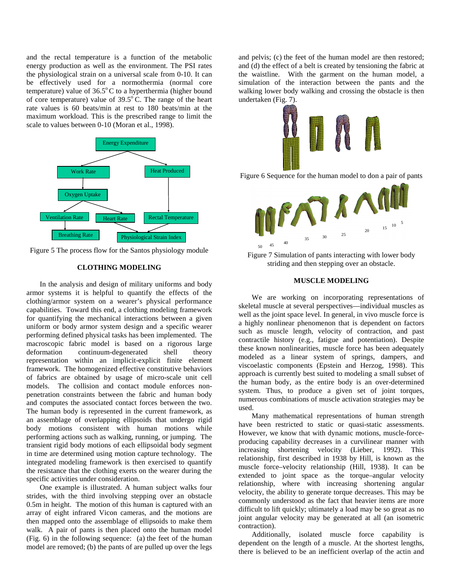and the rectal temperature is a function of the metabolic energy production as well as the environment. The PSI rates the physiological strain on a universal scale from 0-10. It can be effectively used for a normothermia (normal core temperature) value of  $36.5^{\circ}$ C to a hyperthermia (higher bound of core temperature) value of  $39.5^{\circ}$  C. The range of the heart rate values is 60 beats/min at rest to 180 beats/min at the maximum workload. This is the prescribed range to limit the scale to values between 0-10 (Moran et al., 1998).



Figure 5 The process flow for the Santos physiology module

# **CLOTHING MODELING**

In the analysis and design of military uniforms and body armor systems it is helpful to quantify the effects of the clothing/armor system on a wearer's physical performance capabilities. Toward this end, a clothing modeling framework for quantifying the mechanical interactions between a given uniform or body armor system design and a specific wearer performing defined physical tasks has been implemented. The macroscopic fabric model is based on a rigorous large deformation continuum-degenerated shell theory representation within an implicit-explicit finite element framework. The homogenized effective constitutive behaviors of fabrics are obtained by usage of micro-scale unit cell models. The collision and contact module enforces nonpenetration constraints between the fabric and human body and computes the associated contact forces between the two. The human body is represented in the current framework, as an assemblage of overlapping ellipsoids that undergo rigid body motions consistent with human motions while performing actions such as walking, running, or jumping. The transient rigid body motions of each ellipsoidal body segment in time are determined using motion capture technology. The integrated modeling framework is then exercised to quantify the resistance that the clothing exerts on the wearer during the specific activities under consideration.

 One example is illustrated. A human subject walks four strides, with the third involving stepping over an obstacle 0.5m in height. The motion of this human is captured with an array of eight infrared Vicon cameras, and the motions are then mapped onto the assemblage of ellipsoids to make them walk. A pair of pants is then placed onto the human model (Fig. 6) in the following sequence: (a) the feet of the human model are removed; (b) the pants of are pulled up over the legs and pelvis; (c) the feet of the human model are then restored; and (d) the effect of a belt is created by tensioning the fabric at the waistline. With the garment on the human model, a simulation of the interaction between the pants and the walking lower body walking and crossing the obstacle is then undertaken (Fig. 7).



Figure 6 Sequence for the human model to don a pair of pants



Figure 7 Simulation of pants interacting with lower body striding and then stepping over an obstacle.

## **MUSCLE MODELING**

 We are working on incorporating representations of skeletal muscle at several perspectives—individual muscles as well as the joint space level. In general, in vivo muscle force is a highly nonlinear phenomenon that is dependent on factors such as muscle length, velocity of contraction, and past contractile history (e.g., fatigue and potentiation). Despite these known nonlinearities, muscle force has been adequately modeled as a linear system of springs, dampers, and viscoelastic components (Epstein and Herzog, 1998). This approach is currently best suited to modeling a small subset of the human body, as the entire body is an over-determined system. Thus, to produce a given set of joint torques, numerous combinations of muscle activation strategies may be used.

 Many mathematical representations of human strength have been restricted to static or quasi-static assessments. However, we know that with dynamic motions, muscle-forceproducing capability decreases in a curvilinear manner with increasing shortening velocity (Lieber, 1992). This relationship, first described in 1938 by Hill, is known as the muscle force–velocity relationship (Hill, 1938). It can be extended to joint space as the torque–angular velocity relationship, where with increasing shortening angular velocity, the ability to generate torque decreases. This may be commonly understood as the fact that heavier items are more difficult to lift quickly; ultimately a load may be so great as no joint angular velocity may be generated at all (an isometric contraction).

 Additionally, isolated muscle force capability is dependent on the length of a muscle. At the shortest lengths, there is believed to be an inefficient overlap of the actin and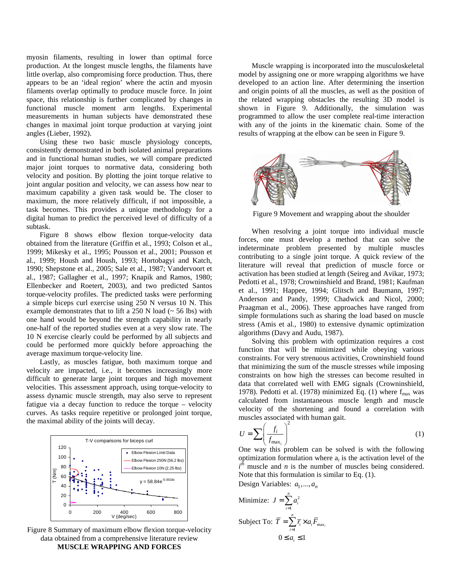myosin filaments, resulting in lower than optimal force production. At the longest muscle lengths, the filaments have little overlap, also compromising force production. Thus, there appears to be an 'ideal region' where the actin and myosin filaments overlap optimally to produce muscle force. In joint space, this relationship is further complicated by changes in functional muscle moment arm lengths. Experimental measurements in human subjects have demonstrated these changes in maximal joint torque production at varying joint angles (Lieber, 1992).

 Using these two basic muscle physiology concepts, consistently demonstrated in both isolated animal preparations and in functional human studies, we will compare predicted major joint torques to normative data, considering both velocity and position. By plotting the joint torque relative to joint angular position and velocity, we can assess how near to maximum capability a given task would be. The closer to maximum, the more relatively difficult, if not impossible, a task becomes. This provides a unique methodology for a digital human to predict the perceived level of difficulty of a subtask.

 Figure 8 shows elbow flexion torque-velocity data obtained from the literature (Griffin et al., 1993; Colson et al., 1999; Mikesky et al., 1995; Pousson et al., 2001; Pousson et al., 1999; Housh and Housh, 1993; Hortobagyi and Katch, 1990; Shepstone et al., 2005; Sale et al., 1987; Vandervoort et al., 1987; Gallagher et al., 1997; Knapik and Ramos, 1980; Ellenbecker and Roetert, 2003), and two predicted Santos torque-velocity profiles. The predicted tasks were performing a simple biceps curl exercise using 250 N versus 10 N. This example demonstrates that to lift a  $250$  N load ( $\sim$  56 lbs) with one hand would be beyond the strength capability in nearly one-half of the reported studies even at a very slow rate. The 10 N exercise clearly could be performed by all subjects and could be performed more quickly before approaching the average maximum torque-velocity line.

 Lastly, as muscles fatigue, both maximum torque and velocity are impacted, i.e., it becomes increasingly more difficult to generate large joint torques and high movement velocities. This assessment approach, using torque-velocity to assess dynamic muscle strength, may also serve to represent fatigue via a decay function to reduce the torque – velocity curves. As tasks require repetitive or prolonged joint torque, the maximal ability of the joints will decay.



Figure 8 Summary of maximum elbow flexion torque-velocity data obtained from a comprehensive literature review **MUSCLE WRAPPING AND FORCES** 

 Muscle wrapping is incorporated into the musculoskeletal model by assigning one or more wrapping algorithms we have developed to an action line. After determining the insertion and origin points of all the muscles, as well as the position of the related wrapping obstacles the resulting 3D model is shown in Figure 9. Additionally, the simulation was programmed to allow the user complete real-time interaction with any of the joints in the kinematic chain. Some of the results of wrapping at the elbow can be seen in Figure 9.



Figure 9 Movement and wrapping about the shoulder

 When resolving a joint torque into individual muscle forces, one must develop a method that can solve the indeterminate problem presented by multiple muscles contributing to a single joint torque. A quick review of the literature will reveal that prediction of muscle force or activation has been studied at length (Seireg and Avikar, 1973; Pedotti et al., 1978; Crowninshield and Brand, 1981; Kaufman et al., 1991; Happee, 1994; Glitsch and Baumann, 1997; Anderson and Pandy, 1999; Chadwick and Nicol, 2000; Praagman et al., 2006). These approaches have ranged from simple formulations such as sharing the load based on muscle stress (Amis et al., 1980) to extensive dynamic optimization algorithms (Davy and Audu, 1987).

 Solving this problem with optimization requires a cost function that will be minimized while obeying various constraints. For very strenuous activities, Crowninshield found that minimizing the sum of the muscle stresses while imposing constraints on how high the stresses can become resulted in data that correlated well with EMG signals (Crowninshield, 1978). Pedotti et al. (1978) minimized Eq. (1) where  $f_{\text{max}}$  was calculated from instantaneous muscle length and muscle velocity of the shortening and found a correlation with muscles associated with human gait.

$$
U = \sum \left(\frac{f_i}{f_{\text{max}_i}}\right)^2
$$
 (1)

One way this problem can be solved is with the following optimization formulation where  $a_i$  is the activation level of the  $i^{th}$  muscle and *n* is the number of muscles being considered. Note that this formulation is similar to Eq. (1).

Design Variables:  $a_1, ..., a_n$ 

Minimize: 
$$
J = \sum_{i=1}^{n} a_i^2
$$
  
Subject To:  $\overline{T} = \sum_{i=1}^{n} \overline{r_i} \times a_i \overline{F}_{\text{max}_i}$   
 $0 \le a_i \le 1$